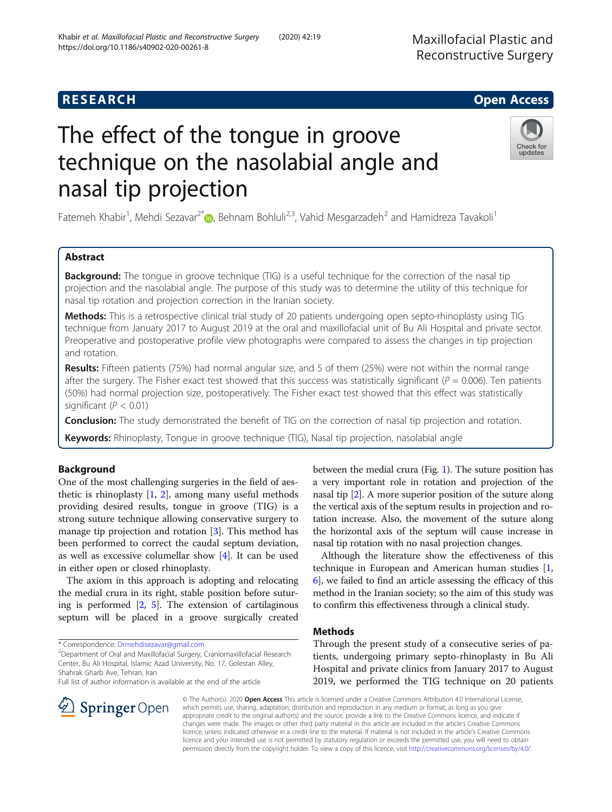# **RESEARCH CHE Open Access**

# The effect of the tongue in groove technique on the nasolabial angle and nasal tip projection

Fatemeh Khabir<sup>1</sup>[,](http://orcid.org/0000-0002-5300-932X) Mehdi Sezavar<sup>2\*</sup>®, Behnam Bohluli<sup>2,3</sup>, Vahid Mesgarzadeh<sup>2</sup> and Hamidreza Tavakoli<sup>1</sup>

# Abstract

**Background:** The tongue in groove technique (TIG) is a useful technique for the correction of the nasal tip projection and the nasolabial angle. The purpose of this study was to determine the utility of this technique for nasal tip rotation and projection correction in the Iranian society.

Methods: This is a retrospective clinical trial study of 20 patients undergoing open septo-rhinoplasty using TIG technique from January 2017 to August 2019 at the oral and maxillofacial unit of Bu Ali Hospital and private sector. Preoperative and postoperative profile view photographs were compared to assess the changes in tip projection and rotation.

Results: Fifteen patients (75%) had normal angular size, and 5 of them (25%) were not within the normal range after the surgery. The Fisher exact test showed that this success was statistically significant ( $P = 0.006$ ). Ten patients (50%) had normal projection size, postoperatively. The Fisher exact test showed that this effect was statistically significant ( $P < 0.01$ )

**Conclusion:** The study demonstrated the benefit of TIG on the correction of nasal tip projection and rotation.

Keywords: Rhinoplasty, Tonque in groove technique (TIG), Nasal tip projection, nasolabial angle

# Background

One of the most challenging surgeries in the field of aesthetic is rhinoplasty  $[1, 2]$  $[1, 2]$  $[1, 2]$  $[1, 2]$  $[1, 2]$ , among many useful methods providing desired results, tongue in groove (TIG) is a strong suture technique allowing conservative surgery to manage tip projection and rotation [[3](#page-2-0)]. This method has been performed to correct the caudal septum deviation, as well as excessive columellar show [\[4](#page-2-0)]. It can be used in either open or closed rhinoplasty.

The axiom in this approach is adopting and relocating the medial crura in its right, stable position before suturing is performed [\[2](#page-2-0), [5](#page-2-0)]. The extension of cartilaginous septum will be placed in a groove surgically created

\* Correspondence: [Drmehdisezavar@gmail.com](mailto:Drmehdisezavar@gmail.com) <sup>2</sup>

Department of Oral and Maxillofacial Surgery, Craniomaxillofacial Research Center, Bu Ali Hospital, Islamic Azad University, No. 17, Golestan Alley, Shahrak Gharb Ave, Tehran, Iran

Full list of author information is available at the end of the article

between the medial crura (Fig. [1](#page-1-0)). The suture position has a very important role in rotation and projection of the nasal tip [\[2](#page-2-0)]. A more superior position of the suture along the vertical axis of the septum results in projection and rotation increase. Also, the movement of the suture along the horizontal axis of the septum will cause increase in nasal tip rotation with no nasal projection changes.

Although the literature show the effectiveness of this technique in European and American human studies [[1](#page-2-0), [6\]](#page-2-0), we failed to find an article assessing the efficacy of this method in the Iranian society; so the aim of this study was to confirm this effectiveness through a clinical study.

# Methods

Through the present study of a consecutive series of patients, undergoing primary septo-rhinoplasty in Bu Ali Hospital and private clinics from January 2017 to August 2019, we performed the TIG technique on 20 patients

© The Author(s). 2020 Open Access This article is licensed under a Creative Commons Attribution 4.0 International License, which permits use, sharing, adaptation, distribution and reproduction in any medium or format, as long as you give appropriate credit to the original author(s) and the source, provide a link to the Creative Commons licence, and indicate if changes were made. The images or other third party material in this article are included in the article's Creative Commons licence, unless indicated otherwise in a credit line to the material. If material is not included in the article's Creative Commons licence and your intended use is not permitted by statutory regulation or exceeds the permitted use, you will need to obtain permission directly from the copyright holder. To view a copy of this licence, visit <http://creativecommons.org/licenses/by/4.0/>.





SpringerOpen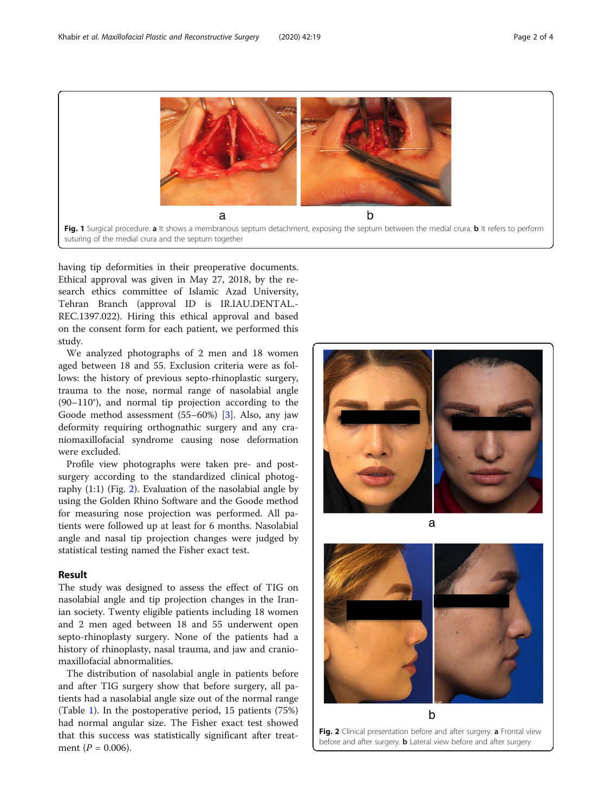<span id="page-1-0"></span>

having tip deformities in their preoperative documents. Ethical approval was given in May 27, 2018, by the research ethics committee of Islamic Azad University, Tehran Branch (approval ID is IR.IAU.DENTAL.- REC.1397.022). Hiring this ethical approval and based on the consent form for each patient, we performed this study.

We analyzed photographs of 2 men and 18 women aged between 18 and 55. Exclusion criteria were as follows: the history of previous septo-rhinoplastic surgery, trauma to the nose, normal range of nasolabial angle (90–110°), and normal tip projection according to the Goode method assessment (55–60%) [\[3](#page-2-0)]. Also, any jaw deformity requiring orthognathic surgery and any craniomaxillofacial syndrome causing nose deformation were excluded.

Profile view photographs were taken pre- and postsurgery according to the standardized clinical photography (1:1) (Fig. 2). Evaluation of the nasolabial angle by using the Golden Rhino Software and the Goode method for measuring nose projection was performed. All patients were followed up at least for 6 months. Nasolabial angle and nasal tip projection changes were judged by statistical testing named the Fisher exact test.

### Result

The study was designed to assess the effect of TIG on nasolabial angle and tip projection changes in the Iranian society. Twenty eligible patients including 18 women and 2 men aged between 18 and 55 underwent open septo-rhinoplasty surgery. None of the patients had a history of rhinoplasty, nasal trauma, and jaw and craniomaxillofacial abnormalities.

The distribution of nasolabial angle in patients before and after TIG surgery show that before surgery, all patients had a nasolabial angle size out of the normal range (Table [1](#page-2-0)). In the postoperative period, 15 patients (75%) had normal angular size. The Fisher exact test showed that this success was statistically significant after treatment ( $P = 0.006$ ).



before and after surgery. **b** Lateral view before and after surgery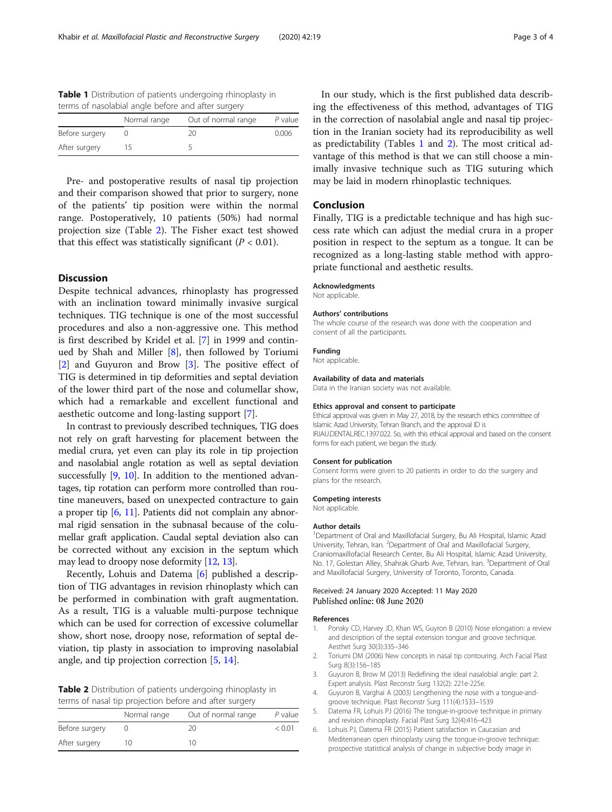<span id="page-2-0"></span>Table 1 Distribution of patients undergoing rhinoplasty in terms of nasolabial angle before and after surgery

|                | Normal range | Out of normal range | $P$ value |  |
|----------------|--------------|---------------------|-----------|--|
| Before surgery |              | 20                  | 0.006     |  |
| After surgery  |              |                     |           |  |

Pre- and postoperative results of nasal tip projection and their comparison showed that prior to surgery, none of the patients' tip position were within the normal range. Postoperatively, 10 patients (50%) had normal projection size (Table 2). The Fisher exact test showed that this effect was statistically significant ( $P < 0.01$ ).

## **Discussion**

Despite technical advances, rhinoplasty has progressed with an inclination toward minimally invasive surgical techniques. TIG technique is one of the most successful procedures and also a non-aggressive one. This method is first described by Kridel et al. [\[7](#page-3-0)] in 1999 and continued by Shah and Miller [\[8](#page-3-0)], then followed by Toriumi [2] and Guyuron and Brow [3]. The positive effect of TIG is determined in tip deformities and septal deviation of the lower third part of the nose and columellar show, which had a remarkable and excellent functional and aesthetic outcome and long-lasting support [\[7](#page-3-0)].

In contrast to previously described techniques, TIG does not rely on graft harvesting for placement between the medial crura, yet even can play its role in tip projection and nasolabial angle rotation as well as septal deviation successfully [\[9,](#page-3-0) [10](#page-3-0)]. In addition to the mentioned advantages, tip rotation can perform more controlled than routine maneuvers, based on unexpected contracture to gain a proper tip [6, [11\]](#page-3-0). Patients did not complain any abnormal rigid sensation in the subnasal because of the columellar graft application. Caudal septal deviation also can be corrected without any excision in the septum which may lead to droopy nose deformity [\[12,](#page-3-0) [13\]](#page-3-0).

Recently, Lohuis and Datema [6] published a description of TIG advantages in revision rhinoplasty which can be performed in combination with graft augmentation. As a result, TIG is a valuable multi-purpose technique which can be used for correction of excessive columellar show, short nose, droopy nose, reformation of septal deviation, tip plasty in association to improving nasolabial angle, and tip projection correction [5, [14](#page-3-0)].

Table 2 Distribution of patients undergoing rhinoplasty in terms of nasal tip projection before and after surgery

|                | Normal range | Out of normal range | $P$ value |
|----------------|--------------|---------------------|-----------|
| Before surgery |              | 20                  | < 0.01    |
| After surgery  | 10           | 1Λ                  |           |

In our study, which is the first published data describing the effectiveness of this method, advantages of TIG in the correction of nasolabial angle and nasal tip projection in the Iranian society had its reproducibility as well as predictability (Tables 1 and 2). The most critical advantage of this method is that we can still choose a minimally invasive technique such as TIG suturing which may be laid in modern rhinoplastic techniques.

## Conclusion

Finally, TIG is a predictable technique and has high success rate which can adjust the medial crura in a proper position in respect to the septum as a tongue. It can be recognized as a long-lasting stable method with appropriate functional and aesthetic results.

#### Acknowledgments

Not applicable.

#### Authors' contributions

The whole course of the research was done with the cooperation and consent of all the participants.

#### Funding

Not applicable.

#### Availability of data and materials

Data in the Iranian society was not available.

#### Ethics approval and consent to participate

Ethical approval was given in May 27, 2018, by the research ethics committee of Islamic Azad University, Tehran Branch, and the approval ID is IR.IAU.DENTAL.REC.1397.022. So, with this ethical approval and based on the consent forms for each patient, we began the study.

#### Consent for publication

Consent forms were given to 20 patients in order to do the surgery and plans for the research.

#### Competing interests

Not applicable.

#### Author details

<sup>1</sup>Department of Oral and Maxillofacial Surgery, Bu Ali Hospital, Islamic Azad University, Tehran, Iran. <sup>2</sup>Department of Oral and Maxillofacial Surgery, Craniomaxillofacial Research Center, Bu Ali Hospital, Islamic Azad University, No. 17, Golestan Alley, Shahrak Gharb Ave, Tehran, Iran. <sup>3</sup>Department of Oral and Maxillofacial Surgery, University of Toronto, Toronto, Canada.

#### Received: 24 January 2020 Accepted: 11 May 2020 Published online: 08 June 2020

#### References

- 1. Ponsky CD, Harvey JD, Khan WS, Guyron B (2010) Nose elongation: a review and description of the septal extension tongue and groove technique. Aesthet Surg 30(3):335–346
- 2. Toriumi DM (2006) New concepts in nasal tip contouring. Arch Facial Plast Surg 8(3):156–185
- 3. Guyuron B, Brow M (2013) Redefining the ideal nasalobial angle: part 2. Expert analysis. Plast Reconstr Surg 132(2): 221e-225e.
- 4. Guyuron B, Varghai A (2003) Lengthening the nose with a tongue-andgroove technique. Plast Reconstr Surg 111(4):1533–1539
- 5. Datema FR, Lohuis PJ (2016) The tongue-in-groove technique in primary and revision rhinoplasty. Facial Plast Surg 32(4):416–423
- 6. Lohuis PJ, Datema FR (2015) Patient satisfaction in Caucasian and Mediterranean open rhinoplasty using the tongue-in-groove technique: prospective statistical analysis of change in subjective body image in